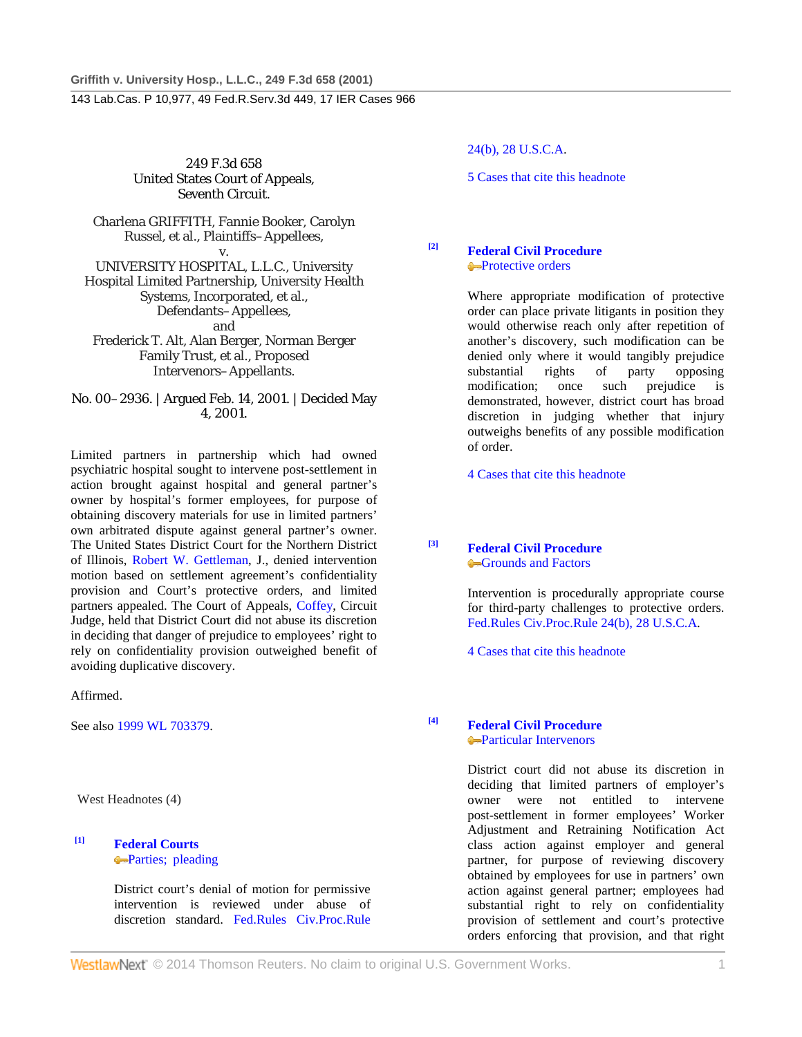249 F.3d 658 United States Court of Appeals, Seventh Circuit.

Charlena GRIFFITH, Fannie Booker, Carolyn Russel, et al., Plaintiffs–Appellees, v. UNIVERSITY HOSPITAL, L.L.C., University

Hospital Limited Partnership, University Health Systems, Incorporated, et al., Defendants–Appellees, and Frederick T. Alt, Alan Berger, Norman Berger

Family Trust, et al., Proposed Intervenors–Appellants.

No. 00–2936. | Argued Feb. 14, 2001. | Decided May 4, 2001.

Limited partners in partnership which had owned psychiatric hospital sought to intervene post-settlement in action brought against hospital and general partner's owner by hospital's former employees, for purpose of obtaining discovery materials for use in limited partners' own arbitrated dispute against general partner's owner. The United States District Court for the Northern District of Illinois, Robert W. Gettleman, J., denied intervention motion based on settlement agreement's confidentiality provision and Court's protective orders, and limited partners appealed. The Court of Appeals, Coffey, Circuit Judge, held that District Court did not abuse its discretion in deciding that danger of prejudice to employees' right to rely on confidentiality provision outweighed benefit of avoiding duplicative discovery.

Affirmed.

See also 1999 WL 703379.

West Headnotes (4)

### **[1] Federal Courts Parties**; pleading

District court's denial of motion for permissive intervention is reviewed under abuse of discretion standard. Fed.Rules Civ.Proc.Rule 24(b), 28 U.S.C.A.

5 Cases that cite this headnote

**[2] Federal Civil Procedure Protective orders** 

> Where appropriate modification of protective order can place private litigants in position they would otherwise reach only after repetition of another's discovery, such modification can be denied only where it would tangibly prejudice substantial rights of party opposing modification; once such prejudice is demonstrated, however, district court has broad discretion in judging whether that injury outweighs benefits of any possible modification of order.

4 Cases that cite this headnote

**[3] Federal Civil Procedure** Grounds and Factors

> Intervention is procedurally appropriate course for third-party challenges to protective orders. Fed.Rules Civ.Proc.Rule 24(b), 28 U.S.C.A.

4 Cases that cite this headnote

**[4] Federal Civil Procedure Particular Intervenors** 

> District court did not abuse its discretion in deciding that limited partners of employer's owner were not entitled to intervene post-settlement in former employees' Worker Adjustment and Retraining Notification Act class action against employer and general partner, for purpose of reviewing discovery obtained by employees for use in partners' own action against general partner; employees had substantial right to rely on confidentiality provision of settlement and court's protective orders enforcing that provision, and that right

**WestlawNext** © 2014 Thomson Reuters. No claim to original U.S. Government Works. 1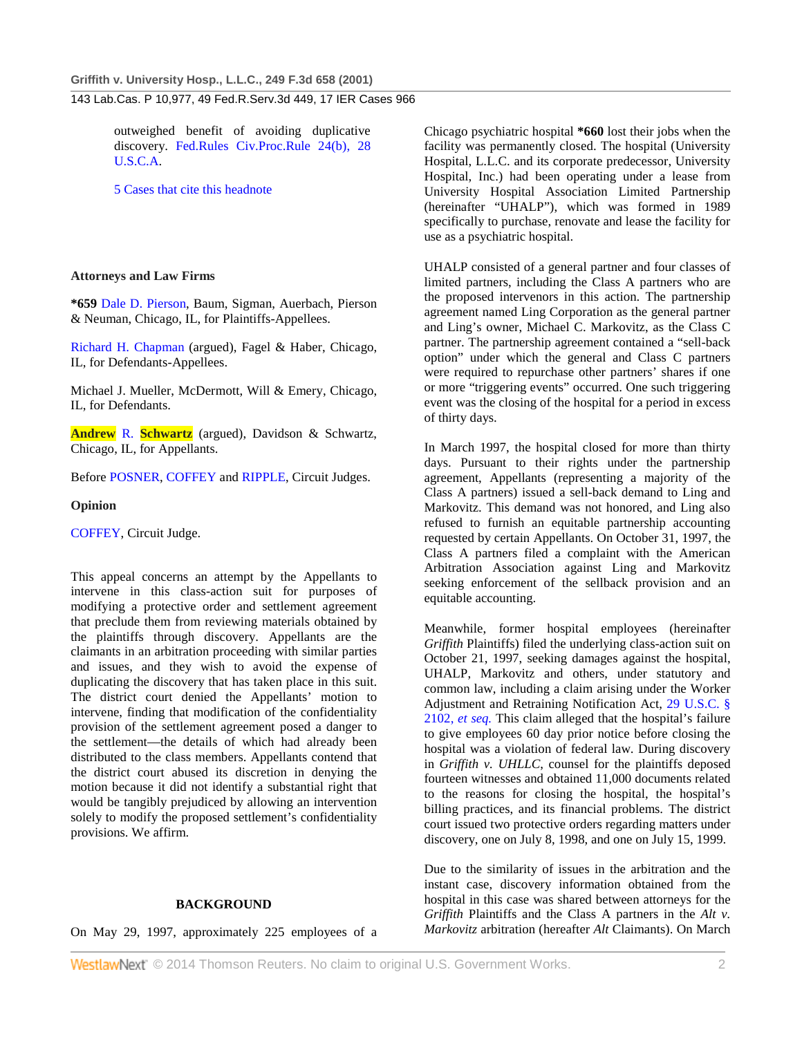outweighed benefit of avoiding duplicative discovery. Fed.Rules Civ.Proc.Rule 24(b), 28 U.S.C.A.

5 Cases that cite this headnote

# **Attorneys and Law Firms**

**\*659** Dale D. Pierson, Baum, Sigman, Auerbach, Pierson & Neuman, Chicago, IL, for Plaintiffs-Appellees.

Richard H. Chapman (argued), Fagel & Haber, Chicago, IL, for Defendants-Appellees.

Michael J. Mueller, McDermott, Will & Emery, Chicago, IL, for Defendants.

**Andrew** R. **Schwartz** (argued), Davidson & Schwartz, Chicago, IL, for Appellants.

Before POSNER, COFFEY and RIPPLE, Circuit Judges.

# **Opinion**

COFFEY, Circuit Judge.

This appeal concerns an attempt by the Appellants to intervene in this class-action suit for purposes of modifying a protective order and settlement agreement that preclude them from reviewing materials obtained by the plaintiffs through discovery. Appellants are the claimants in an arbitration proceeding with similar parties and issues, and they wish to avoid the expense of duplicating the discovery that has taken place in this suit. The district court denied the Appellants' motion to intervene, finding that modification of the confidentiality provision of the settlement agreement posed a danger to the settlement—the details of which had already been distributed to the class members. Appellants contend that the district court abused its discretion in denying the motion because it did not identify a substantial right that would be tangibly prejudiced by allowing an intervention solely to modify the proposed settlement's confidentiality provisions. We affirm.

# **BACKGROUND**

On May 29, 1997, approximately 225 employees of a

Chicago psychiatric hospital **\*660** lost their jobs when the facility was permanently closed. The hospital (University Hospital, L.L.C. and its corporate predecessor, University Hospital, Inc.) had been operating under a lease from University Hospital Association Limited Partnership (hereinafter "UHALP"), which was formed in 1989 specifically to purchase, renovate and lease the facility for use as a psychiatric hospital.

UHALP consisted of a general partner and four classes of limited partners, including the Class A partners who are the proposed intervenors in this action. The partnership agreement named Ling Corporation as the general partner and Ling's owner, Michael C. Markovitz, as the Class C partner. The partnership agreement contained a "sell-back option" under which the general and Class C partners were required to repurchase other partners' shares if one or more "triggering events" occurred. One such triggering event was the closing of the hospital for a period in excess of thirty days.

In March 1997, the hospital closed for more than thirty days. Pursuant to their rights under the partnership agreement, Appellants (representing a majority of the Class A partners) issued a sell-back demand to Ling and Markovitz. This demand was not honored, and Ling also refused to furnish an equitable partnership accounting requested by certain Appellants. On October 31, 1997, the Class A partners filed a complaint with the American Arbitration Association against Ling and Markovitz seeking enforcement of the sellback provision and an equitable accounting.

Meanwhile, former hospital employees (hereinafter *Griffith* Plaintiffs) filed the underlying class-action suit on October 21, 1997, seeking damages against the hospital, UHALP, Markovitz and others, under statutory and common law, including a claim arising under the Worker Adjustment and Retraining Notification Act, 29 U.S.C. § 2102, *et seq.* This claim alleged that the hospital's failure to give employees 60 day prior notice before closing the hospital was a violation of federal law. During discovery in *Griffith v. UHLLC*, counsel for the plaintiffs deposed fourteen witnesses and obtained 11,000 documents related to the reasons for closing the hospital, the hospital's billing practices, and its financial problems. The district court issued two protective orders regarding matters under discovery, one on July 8, 1998, and one on July 15, 1999.

Due to the similarity of issues in the arbitration and the instant case, discovery information obtained from the hospital in this case was shared between attorneys for the *Griffith* Plaintiffs and the Class A partners in the *Alt v. Markovitz* arbitration (hereafter *Alt* Claimants). On March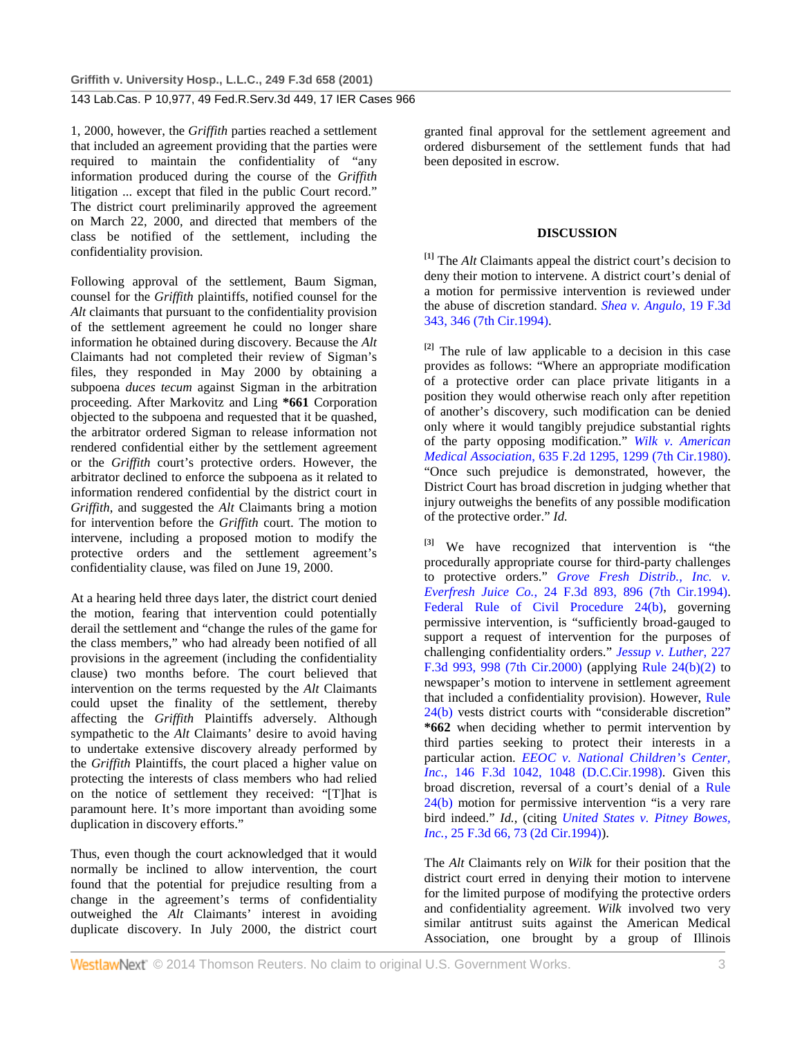1, 2000, however, the *Griffith* parties reached a settlement that included an agreement providing that the parties were required to maintain the confidentiality of "any information produced during the course of the *Griffith* litigation ... except that filed in the public Court record." The district court preliminarily approved the agreement on March 22, 2000, and directed that members of the class be notified of the settlement, including the confidentiality provision.

Following approval of the settlement, Baum Sigman, counsel for the *Griffith* plaintiffs, notified counsel for the *Alt* claimants that pursuant to the confidentiality provision of the settlement agreement he could no longer share information he obtained during discovery. Because the *Alt* Claimants had not completed their review of Sigman's files, they responded in May 2000 by obtaining a subpoena *duces tecum* against Sigman in the arbitration proceeding. After Markovitz and Ling **\*661** Corporation objected to the subpoena and requested that it be quashed, the arbitrator ordered Sigman to release information not rendered confidential either by the settlement agreement or the *Griffith* court's protective orders. However, the arbitrator declined to enforce the subpoena as it related to information rendered confidential by the district court in *Griffith*, and suggested the *Alt* Claimants bring a motion for intervention before the *Griffith* court. The motion to intervene, including a proposed motion to modify the protective orders and the settlement agreement's confidentiality clause, was filed on June 19, 2000.

At a hearing held three days later, the district court denied the motion, fearing that intervention could potentially derail the settlement and "change the rules of the game for the class members," who had already been notified of all provisions in the agreement (including the confidentiality clause) two months before. The court believed that intervention on the terms requested by the *Alt* Claimants could upset the finality of the settlement, thereby affecting the *Griffith* Plaintiffs adversely. Although sympathetic to the *Alt* Claimants' desire to avoid having to undertake extensive discovery already performed by the *Griffith* Plaintiffs, the court placed a higher value on protecting the interests of class members who had relied on the notice of settlement they received: "[T]hat is paramount here. It's more important than avoiding some duplication in discovery efforts."

Thus, even though the court acknowledged that it would normally be inclined to allow intervention, the court found that the potential for prejudice resulting from a change in the agreement's terms of confidentiality outweighed the *Alt* Claimants' interest in avoiding duplicate discovery. In July 2000, the district court

granted final approval for the settlement agreement and ordered disbursement of the settlement funds that had been deposited in escrow.

#### **DISCUSSION**

**[1]** The *Alt* Claimants appeal the district court's decision to deny their motion to intervene. A district court's denial of a motion for permissive intervention is reviewed under the abuse of discretion standard. *Shea v. Angulo*, 19 F.3d 343, 346 (7th Cir.1994).

**[2]** The rule of law applicable to a decision in this case provides as follows: "Where an appropriate modification of a protective order can place private litigants in a position they would otherwise reach only after repetition of another's discovery, such modification can be denied only where it would tangibly prejudice substantial rights of the party opposing modification." *Wilk v. American Medical Association*, 635 F.2d 1295, 1299 (7th Cir.1980). "Once such prejudice is demonstrated, however, the District Court has broad discretion in judging whether that injury outweighs the benefits of any possible modification of the protective order." *Id.*

**[3]** We have recognized that intervention is "the procedurally appropriate course for third-party challenges to protective orders." *Grove Fresh Distrib., Inc. v. Everfresh Juice Co.*, 24 F.3d 893, 896 (7th Cir.1994). Federal Rule of Civil Procedure 24(b), governing permissive intervention, is "sufficiently broad-gauged to support a request of intervention for the purposes of challenging confidentiality orders." *Jessup v. Luther*, 227 F.3d 993, 998 (7th Cir.2000) (applying Rule 24(b)(2) to newspaper's motion to intervene in settlement agreement that included a confidentiality provision). However, Rule 24(b) vests district courts with "considerable discretion" **\*662** when deciding whether to permit intervention by third parties seeking to protect their interests in a particular action. *EEOC v. National Children's Center, Inc.*, 146 F.3d 1042, 1048 (D.C.Cir.1998). Given this broad discretion, reversal of a court's denial of a Rule 24(b) motion for permissive intervention "is a very rare bird indeed." *Id.*, (citing *United States v. Pitney Bowes, Inc.*, 25 F.3d 66, 73 (2d Cir.1994)).

The *Alt* Claimants rely on *Wilk* for their position that the district court erred in denying their motion to intervene for the limited purpose of modifying the protective orders and confidentiality agreement. *Wilk* involved two very similar antitrust suits against the American Medical Association, one brought by a group of Illinois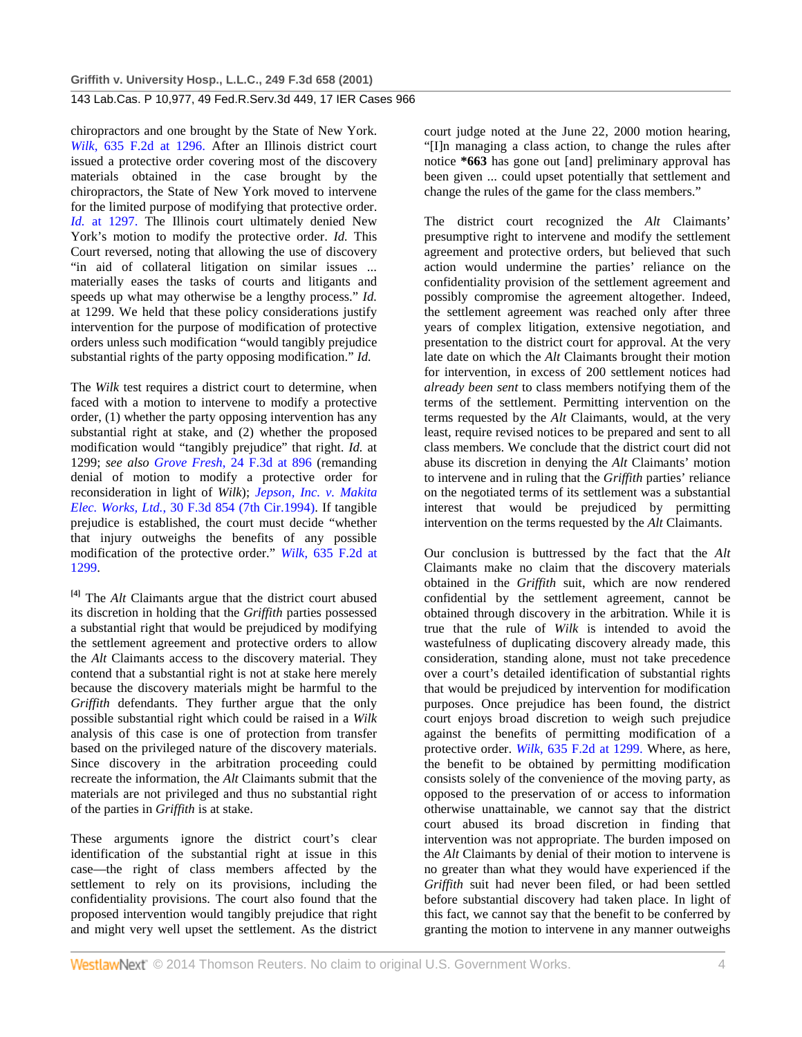chiropractors and one brought by the State of New York. *Wilk*, 635 F.2d at 1296. After an Illinois district court issued a protective order covering most of the discovery materials obtained in the case brought by the chiropractors, the State of New York moved to intervene for the limited purpose of modifying that protective order. *Id.* at 1297. The Illinois court ultimately denied New York's motion to modify the protective order. *Id.* This Court reversed, noting that allowing the use of discovery "in aid of collateral litigation on similar issues ... materially eases the tasks of courts and litigants and speeds up what may otherwise be a lengthy process." *Id.* at 1299. We held that these policy considerations justify intervention for the purpose of modification of protective orders unless such modification "would tangibly prejudice substantial rights of the party opposing modification." *Id.*

The *Wilk* test requires a district court to determine, when faced with a motion to intervene to modify a protective order, (1) whether the party opposing intervention has any substantial right at stake, and (2) whether the proposed modification would "tangibly prejudice" that right. *Id.* at 1299; *see also Grove Fresh*, 24 F.3d at 896 (remanding denial of motion to modify a protective order for reconsideration in light of *Wilk*); *Jepson, Inc. v. Makita Elec. Works, Ltd.*, 30 F.3d 854 (7th Cir.1994). If tangible prejudice is established, the court must decide "whether that injury outweighs the benefits of any possible modification of the protective order." *Wilk*, 635 F.2d at 1299.

**[4]** The *Alt* Claimants argue that the district court abused its discretion in holding that the *Griffith* parties possessed a substantial right that would be prejudiced by modifying the settlement agreement and protective orders to allow the *Alt* Claimants access to the discovery material. They contend that a substantial right is not at stake here merely because the discovery materials might be harmful to the *Griffith* defendants. They further argue that the only possible substantial right which could be raised in a *Wilk* analysis of this case is one of protection from transfer based on the privileged nature of the discovery materials. Since discovery in the arbitration proceeding could recreate the information, the *Alt* Claimants submit that the materials are not privileged and thus no substantial right of the parties in *Griffith* is at stake.

These arguments ignore the district court's clear identification of the substantial right at issue in this case—the right of class members affected by the settlement to rely on its provisions, including the confidentiality provisions. The court also found that the proposed intervention would tangibly prejudice that right and might very well upset the settlement. As the district

court judge noted at the June 22, 2000 motion hearing, "[I]n managing a class action, to change the rules after notice **\*663** has gone out [and] preliminary approval has been given ... could upset potentially that settlement and change the rules of the game for the class members."

The district court recognized the *Alt* Claimants' presumptive right to intervene and modify the settlement agreement and protective orders, but believed that such action would undermine the parties' reliance on the confidentiality provision of the settlement agreement and possibly compromise the agreement altogether. Indeed, the settlement agreement was reached only after three years of complex litigation, extensive negotiation, and presentation to the district court for approval. At the very late date on which the *Alt* Claimants brought their motion for intervention, in excess of 200 settlement notices had *already been sent* to class members notifying them of the terms of the settlement. Permitting intervention on the terms requested by the *Alt* Claimants, would, at the very least, require revised notices to be prepared and sent to all class members. We conclude that the district court did not abuse its discretion in denying the *Alt* Claimants' motion to intervene and in ruling that the *Griffith* parties' reliance on the negotiated terms of its settlement was a substantial interest that would be prejudiced by permitting intervention on the terms requested by the *Alt* Claimants.

Our conclusion is buttressed by the fact that the *Alt* Claimants make no claim that the discovery materials obtained in the *Griffith* suit, which are now rendered confidential by the settlement agreement, cannot be obtained through discovery in the arbitration. While it is true that the rule of *Wilk* is intended to avoid the wastefulness of duplicating discovery already made, this consideration, standing alone, must not take precedence over a court's detailed identification of substantial rights that would be prejudiced by intervention for modification purposes. Once prejudice has been found, the district court enjoys broad discretion to weigh such prejudice against the benefits of permitting modification of a protective order. *Wilk*, 635 F.2d at 1299. Where, as here, the benefit to be obtained by permitting modification consists solely of the convenience of the moving party, as opposed to the preservation of or access to information otherwise unattainable, we cannot say that the district court abused its broad discretion in finding that intervention was not appropriate. The burden imposed on the *Alt* Claimants by denial of their motion to intervene is no greater than what they would have experienced if the *Griffith* suit had never been filed, or had been settled before substantial discovery had taken place. In light of this fact, we cannot say that the benefit to be conferred by granting the motion to intervene in any manner outweighs